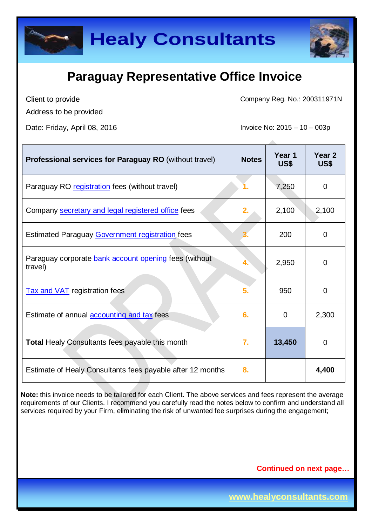



Client to provide

Address to be provided

Date: Friday, April 08, 2016 **Invoice No: 2015** - 10 – 003p

Company Reg. No.: 200311971N

| <b>Professional services for Paraguay RO</b> (without travel)    | <b>Notes</b> | Year 1<br>US\$ | Year <sub>2</sub><br>US\$ |
|------------------------------------------------------------------|--------------|----------------|---------------------------|
| Paraguay RO registration fees (without travel)                   |              | 7,250          | 0                         |
| Company secretary and legal registered office fees               | 2.           | 2,100          | 2,100                     |
| <b>Estimated Paraguay Government registration fees</b>           |              | 200            | 0                         |
| Paraguay corporate bank account opening fees (without<br>travel) | 4.           | 2,950          | 0                         |
| <b>Tax and VAT registration fees</b>                             | 5.           | 950            | $\mathbf 0$               |
| Estimate of annual <b>accounting and tax</b> fees                | 6.           | $\overline{0}$ | 2,300                     |
| <b>Total Healy Consultants fees payable this month</b>           | 7.           | 13,450         | $\mathbf 0$               |
| Estimate of Healy Consultants fees payable after 12 months       | 8.           |                | 4,400                     |

**Note:** this invoice needs to be tailored for each Client. The above services and fees represent the average requirements of our Clients. I recommend you carefully read the notes below to confirm and understand all services required by your Firm, eliminating the risk of unwanted fee surprises during the engagement;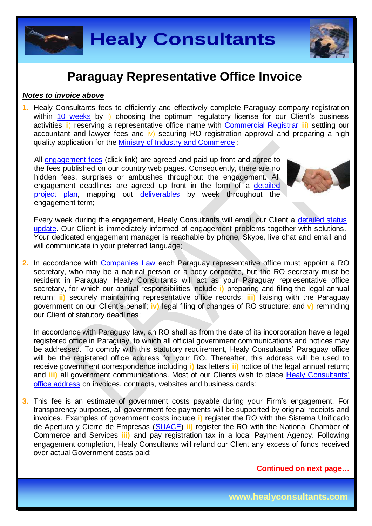

#### *Notes to invoice above*

**1.** Healy Consultants fees to efficiently and effectively complete Paraguay company registration within 10 [weeks](http://www.healyconsultants.com/paraguay-company-registration/fees-timelines/#timelines) by i) choosing the optimum regulatory license for our Client's business activities ii) reserving a representative office name with [Commercial Registrar](http://www.suace.gov.py/index.html) iii) settling our accountant and lawyer fees and iv) securing RO registration approval and preparing a high quality application for the **[Ministry of Industry and Commerce](http://www.mic.gov.py/mic/site/inicio.php)**:

All [engagement fees](http://www.healyconsultants.com/company-registration-fees/) (click link) are agreed and paid up front and agree to the fees published on our country web pages. Consequently, there are no hidden fees, surprises or ambushes throughout the engagement. All engagement deadlines are agreed up front in the form of a [detailed](http://www.healyconsultants.com/index-important-links/example-project-plan/)  [project plan,](http://www.healyconsultants.com/index-important-links/example-project-plan/) mapping out [deliverables](http://www.healyconsultants.com/deliverables-to-our-clients/) by week throughout the engagement term;



Every week during the engagement, Healy Consultants will email our Client a [detailed status](http://www.healyconsultants.com/index-important-links/weekly-engagement-status-email/)  [update.](http://www.healyconsultants.com/index-important-links/weekly-engagement-status-email/) Our Client is immediately informed of engagement problems together with solutions. Your dedicated engagement manager is reachable by phone, Skype, live chat and email and will communicate in your preferred language;

**2.** In accordance with [Companies Law](http://www.pj.gov.py/) each Paraguay representative office must appoint a RO secretary, who may be a natural person or a body corporate, but the RO secretary must be resident in Paraguay. Healy Consultants will act as your Paraguay representative office secretary, for which our annual responsibilities include **i)** preparing and filing the legal annual return; **ii)** securely maintaining representative office records; **iii)** liaising with the Paraguay government on our Client's behalf; **iv)** legal filing of changes of RO structure; and **v)** reminding our Client of statutory deadlines;

In accordance with Paraguay law, an RO shall as from the date of its incorporation have a legal registered office in Paraguay, to which all official government communications and notices may be addressed. To comply with this statutory requirement, Healy Consultants' Paraguay office will be the registered office address for your RO. Thereafter, this address will be used to receive government correspondence including **i)** tax letters **ii)** notice of the legal annual return; and **iii)** all government communications. Most of our Clients wish to place [Healy Consultants'](http://www.healyconsultants.com/corporate-outsourcing-services/company-secretary-and-legal-registered-office/) [office address](http://www.healyconsultants.com/corporate-outsourcing-services/company-secretary-and-legal-registered-office/) on invoices, contracts, websites and business cards;

**3.** This fee is an estimate of government costs payable during your Firm's engagement. For transparency purposes, all government fee payments will be supported by original receipts and invoices. Examples of government costs include **i)** register the RO with the Sistema Unificado de Apertura y Cierre de Empresas [\(SUACE\)](http://www.suace.gov.py/index.html) **ii)** register the RO with the National Chamber of Commerce and Services **iii)** and pay registration tax in a local Payment Agency. Following engagement completion, Healy Consultants will refund our Client any excess of funds received over actual Government costs paid;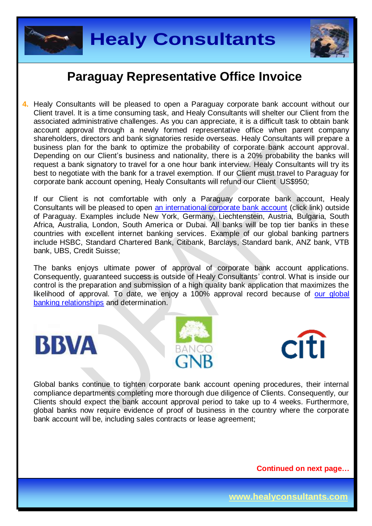



**4.** Healy Consultants will be pleased to open a Paraguay corporate bank account without our Client travel. It is a time consuming task, and Healy Consultants will shelter our Client from the associated administrative challenges. As you can appreciate, it is a difficult task to obtain bank account approval through a newly formed representative office when parent company shareholders, directors and bank signatories reside overseas. Healy Consultants will prepare a business plan for the bank to optimize the probability of corporate bank account approval. Depending on our Client's business and nationality, there is a 20% probability the banks will request a bank signatory to travel for a one hour bank interview. Healy Consultants will try its best to negotiate with the bank for a travel exemption. If our Client must travel to Paraguay for corporate bank account opening, Healy Consultants will refund our Client US\$950;

If our Client is not comfortable with only a Paraguay corporate bank account, Healy Consultants will be pleased to open [an international corporate bank account](http://www.healyconsultants.com/international-banking/) (click link) outside of Paraguay. Examples include New York, Germany, Liechtenstein, Austria, Bulgaria, South Africa, Australia, London, South America or Dubai. All banks will be top tier banks in these countries with excellent internet banking services. Example of our global banking partners include HSBC, Standard Chartered Bank, Citibank, Barclays, Standard bank, ANZ bank, VTB bank, UBS, Credit Suisse;

The banks enjoys ultimate power of approval of corporate bank account applications. Consequently, guaranteed success is outside of Healy Consultants' control. What is inside our control is the preparation and submission of a high quality bank application that maximizes the likelihood of approval. To date, we enjoy a 100% approval record because of our global [banking relationships](http://www.healyconsultants.com/international-banking/corporate-accounts/) and determination.







Global banks continue to tighten corporate bank account opening procedures, their internal compliance departments completing more thorough due diligence of Clients. Consequently, our Clients should expect the bank account approval period to take up to 4 weeks. Furthermore, global banks now require evidence of proof of business in the country where the corporate bank account will be, including sales contracts or lease agreement;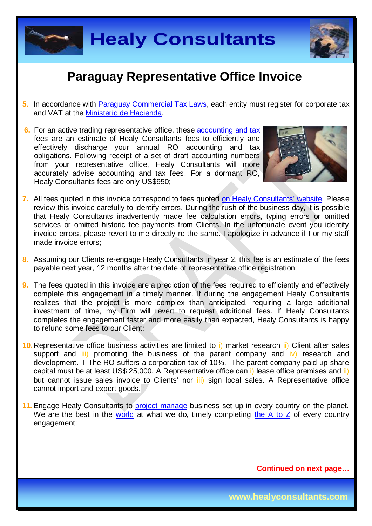



- **5.** In accordance with [Paraguay Commercial Tax Laws,](http://www.pj.gov.py/) each entity must register for corporate tax and VAT at the [Ministerio de Hacienda.](http://www.hacienda.gov.py/web-hacienda/prohibido.php)
- **6.** For an active trading representative office, these [accounting and tax](http://www.healyconsultants.com/paraguay-company-registration/accounting-legal/) fees are an estimate of Healy Consultants fees to efficiently and effectively discharge your annual RO accounting and tax obligations. Following receipt of a set of draft accounting numbers from your representative office, Healy Consultants will more accurately advise accounting and tax fees. For a dormant RO, Healy Consultants fees are only US\$950;



- **7.** All fees quoted in this invoice correspond to fees quoted [on Healy Consultants'](http://www.healyconsultants.com/company-registration-fees/) website. Please review this invoice carefully to identify errors. During the rush of the business day, it is possible that Healy Consultants inadvertently made fee calculation errors, typing errors or omitted services or omitted historic fee payments from Clients. In the unfortunate event you identify invoice errors, please revert to me directly re the same. I apologize in advance if I or my staff made invoice errors;
- **8.** Assuming our Clients re-engage Healy Consultants in year 2, this fee is an estimate of the fees payable next year, 12 months after the date of representative office registration;
- **9.** The fees quoted in this invoice are a prediction of the fees required to efficiently and effectively complete this engagement in a timely manner. If during the engagement Healy Consultants realizes that the project is more complex than anticipated, requiring a large additional investment of time, my Firm will revert to request additional fees. If Healy Consultants completes the engagement faster and more easily than expected, Healy Consultants is happy to refund some fees to our Client;
- **10.**Representative office business activities are limited to i) market research ii) Client after sales support and  $\overline{iii}$  promoting the business of the parent company and  $\overline{iv}$  research and development. T The RO suffers a corporation tax of 10%. The parent company paid up share capital must be at least US\$ 25,000. A Representative office can i) lease office premises and ii) but cannot issue sales invoice to Clients' nor *iii*) sign local sales. A Representative office cannot import and export goods.
- **11.** Engage Healy Consultants to [project manage](http://www.healyconsultants.com/project-manage-engagements/) business set up in every country on the planet. We are the best in the [world](http://www.healyconsultants.com/best-in-the-world/) at what we do, timely completing the  $A$  to  $Z$  of every country engagement;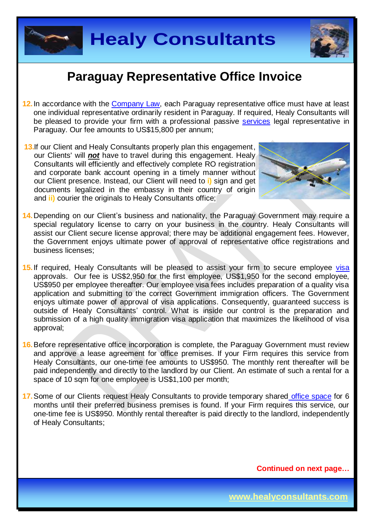



- **12.**In accordance with the [Company Law,](http://www.oas.org/dil/esp/Codigo_Civil_Paraguay.pdf) each Paraguay representative office must have at least one individual representative ordinarily resident in Paraguay. If required, Healy Consultants will be pleased to provide your firm with a professional passive [services](http://www.healyconsultants.com/corporate-outsourcing-services/nominee-shareholders-directors/) legal representative in Paraguay. Our fee amounts to US\$15,800 per annum;
- **13.** If our Client and Healy Consultants properly plan this engagement, our Clients' will *not* have to travel during this engagement. Healy Consultants will efficiently and effectively complete RO registration and corporate bank account opening in a timely manner without our Client presence. Instead, our Client will need to **i)** sign and get documents legalized in the embassy in their country of origin and **ii)** courier the originals to Healy Consultants office;



- **14.**Depending on our Client's business and nationality, the Paraguay Government may require a special regulatory license to carry on your business in the country. Healy Consultants will assist our Client secure license approval; there may be additional engagement fees. However, the Government enjoys ultimate power of approval of representative office registrations and business licenses;
- **15.**If required, Healy Consultants will be pleased to assist your firm to secure employee [visa](http://www.mre.gov.py/v2) approvals. Our fee is US\$2,950 for the first employee, US\$1,950 for the second employee, US\$950 per employee thereafter. Our employee visa fees includes preparation of a quality visa application and submitting to the correct Government immigration officers. The Government enjoys ultimate power of approval of visa applications. Consequently, guaranteed success is outside of Healy Consultants' control. What is inside our control is the preparation and submission of a high quality immigration visa application that maximizes the likelihood of visa approval;
- **16.**Before representative office incorporation is complete, the Paraguay Government must review and approve a lease agreement for office premises. If your Firm requires this service from Healy Consultants, our one-time fee amounts to US\$950. The monthly rent thereafter will be paid independently and directly to the landlord by our Client. An estimate of such a rental for a space of 10 sqm for one employee is US\$1,100 per month:
- **17.**Some of our Clients request Healy Consultants to provide temporary shared [office space](http://www.healyconsultants.com/virtual-office/) for 6 months until their preferred business premises is found. If your Firm requires this service, our one-time fee is US\$950. Monthly rental thereafter is paid directly to the landlord, independently of Healy Consultants;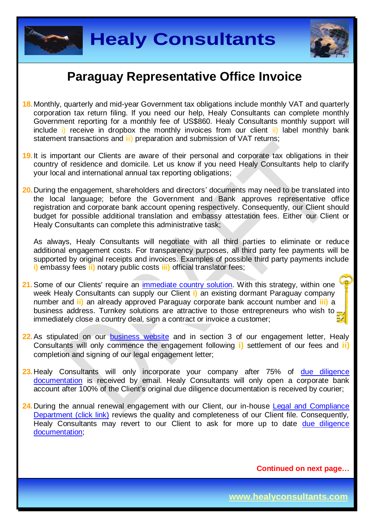



- **18.**Monthly, quarterly and mid-year Government tax obligations include monthly VAT and quarterly corporation tax return filing. If you need our help, Healy Consultants can complete monthly Government reporting for a monthly fee of US\$860. Healy Consultants monthly support will include i) receive in dropbox the monthly invoices from our client ii) label monthly bank statement transactions and iii) preparation and submission of VAT returns;
- **19.**It is important our Clients are aware of their personal and corporate tax obligations in their country of residence and domicile. Let us know if you need Healy Consultants help to clarify your local and international annual tax reporting obligations;
- **20.**During the engagement, shareholders and directors' documents may need to be translated into the local language; before the Government and Bank approves representative office registration and corporate bank account opening respectively. Consequently, our Client should budget for possible additional translation and embassy attestation fees. Either our Client or Healy Consultants can complete this administrative task;

As always, Healy Consultants will negotiate with all third parties to eliminate or reduce additional engagement costs. For transparency purposes, all third party fee payments will be supported by original receipts and invoices. Examples of possible third party payments include **i)** embassy fees **ii)** notary public costs **iii)** official translator fees;

- 21. Some of our Clients' require an *immediate country solution*. With this strategy, within one week Healy Consultants can supply our Client **i)** an existing dormant Paraguay company number and **ii)** an already approved Paraguay corporate bank account number and **iii)** a business address. Turnkey solutions are attractive to those entrepreneurs who wish to immediately close a country deal, sign a contract or invoice a customer;
- 22. As stipulated on our **[business website](http://www.healyconsultants.com/)** and in section 3 of our engagement letter, Healy Consultants will only commence the engagement following **i)** settlement of our fees and **ii)** completion and signing of our legal engagement letter;
- 23. Healy Consultants will only incorporate your company after 75% of due diligence [documentation](http://www.healyconsultants.com/due-diligence/) is received by email. Healy Consultants will only open a corporate bank account after 100% of the Client's original due diligence documentation is received by courier;
- 24. During the annual renewal engagement with our Client, our in-house Legal and Compliance [Department \(click link\)](http://www.healyconsultants.com/about-us/key-personnel/cai-xin-profile/) reviews the quality and completeness of our Client file. Consequently, Healy Consultants may revert to our Client to ask for more up to date due diligence [documentation;](http://www.healyconsultants.com/due-diligence/)